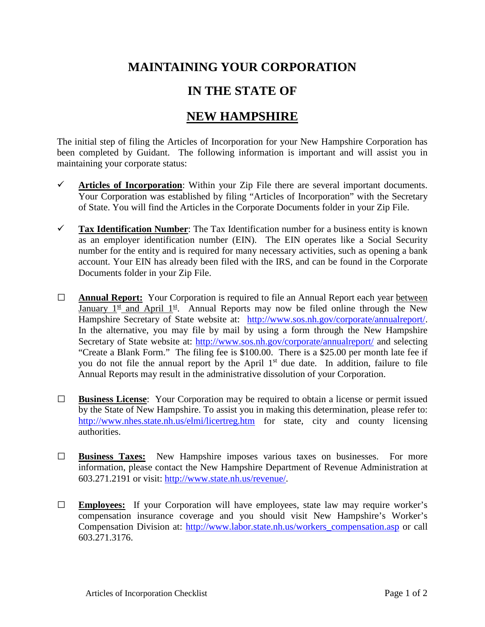## **MAINTAINING YOUR CORPORATION**

## **IN THE STATE OF**

## **NEW HAMPSHIRE**

The initial step of filing the Articles of Incorporation for your New Hampshire Corporation has been completed by Guidant. The following information is important and will assist you in maintaining your corporate status:

- $\checkmark$  Articles of Incorporation: Within your Zip File there are several important documents. Your Corporation was established by filing "Articles of Incorporation" with the Secretary of State. You will find the Articles in the Corporate Documents folder in your Zip File.
- **Tax Identification Number**: The Tax Identification number for a business entity is known as an employer identification number (EIN). The EIN operates like a Social Security number for the entity and is required for many necessary activities, such as opening a bank account. Your EIN has already been filed with the IRS, and can be found in the Corporate Documents folder in your Zip File.
- **□ Annual Report:** Your Corporation is required to file an Annual Report each year between January  $1^{\underline{st}}$  and April  $1^{\underline{st}}$ . Annual Reports may now be filed online through the New Hampshire Secretary of State website at: [http://www.sos.nh.gov/corporate/annualreport/.](http://www.sos.nh.gov/corporate/annualreport/) In the alternative, you may file by mail by using a form through the New Hampshire Secretary of State website at:<http://www.sos.nh.gov/corporate/annualreport/> and selecting "Create a Blank Form." The filing fee is \$100.00. There is a \$25.00 per month late fee if you do not file the annual report by the April 1<sup>st</sup> due date. In addition, failure to file Annual Reports may result in the administrative dissolution of your Corporation.
- **□ Business License**: Your Corporation may be required to obtain a license or permit issued by the State of New Hampshire. To assist you in making this determination, please refer to: <http://www.nhes.state.nh.us/elmi/licertreg.htm> for state, city and county licensing authorities.
- **□ Business Taxes:** New Hampshire imposes various taxes on businesses. For more information, please contact the New Hampshire Department of Revenue Administration at 603.271.2191 or visit: [http://www.state.nh.us/revenue/.](http://www.state.nh.us/revenue/)
- **□ Employees:** If your Corporation will have employees, state law may require worker's compensation insurance coverage and you should visit New Hampshire's Worker's Compensation Division at: [http://www.labor.state.nh.us/workers\\_compensation.asp](http://www.labor.state.nh.us/workers_compensation.asp) or call 603.271.3176.